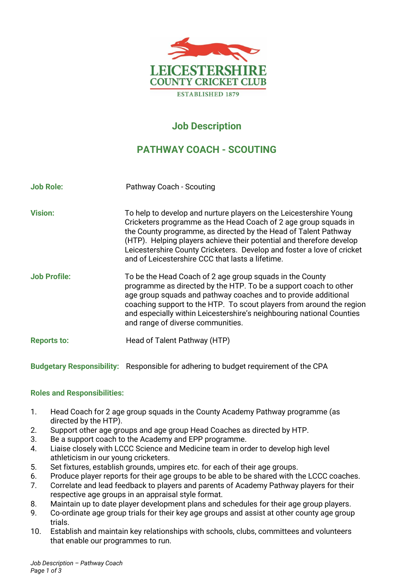

## **Job Description**

## **PATHWAY COACH - SCOUTING**

| <b>Job Role:</b>    | Pathway Coach - Scouting                                                                                                                                                                                                                                                                                                                                                                                       |
|---------------------|----------------------------------------------------------------------------------------------------------------------------------------------------------------------------------------------------------------------------------------------------------------------------------------------------------------------------------------------------------------------------------------------------------------|
| <b>Vision:</b>      | To help to develop and nurture players on the Leicestershire Young<br>Cricketers programme as the Head Coach of 2 age group squads in<br>the County programme, as directed by the Head of Talent Pathway<br>(HTP). Helping players achieve their potential and therefore develop<br>Leicestershire County Cricketers. Develop and foster a love of cricket<br>and of Leicestershire CCC that lasts a lifetime. |
| <b>Job Profile:</b> | To be the Head Coach of 2 age group squads in the County<br>programme as directed by the HTP. To be a support coach to other<br>age group squads and pathway coaches and to provide additional<br>coaching support to the HTP. To scout players from around the region<br>and especially within Leicestershire's neighbouring national Counties<br>and range of diverse communities.                           |
| <b>Reports to:</b>  | Head of Talent Pathway (HTP)                                                                                                                                                                                                                                                                                                                                                                                   |

# **Roles and Responsibilities:**

1. Head Coach for 2 age group squads in the County Academy Pathway programme (as directed by the HTP).

**Budgetary Responsibility:** Responsible for adhering to budget requirement of the CPA

- 2. Support other age groups and age group Head Coaches as directed by HTP.
- 3. Be a support coach to the Academy and EPP programme.
- 4. Liaise closely with LCCC Science and Medicine team in order to develop high level athleticism in our young cricketers.
- 5. Set fixtures, establish grounds, umpires etc. for each of their age groups.
- 6. Produce player reports for their age groups to be able to be shared with the LCCC coaches.
- 7. Correlate and lead feedback to players and parents of Academy Pathway players for their respective age groups in an appraisal style format.
- 8. Maintain up to date player development plans and schedules for their age group players.
- 9. Co-ordinate age group trials for their key age groups and assist at other county age group trials.
- 10. Establish and maintain key relationships with schools, clubs, committees and volunteers that enable our programmes to run.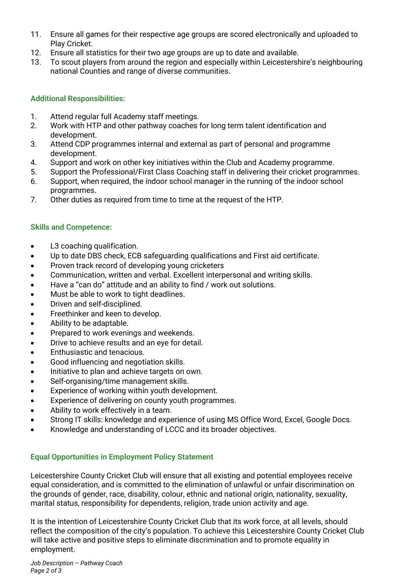- 11. Ensure all games for their respective age groups are scored electronically and uploaded to Play Cricket.
- 12. Ensure all statistics for their two age groups are up to date and available.
- 13. To scout players from around the region and especially within Leicestershire's neighbouring national Counties and range of diverse communities.

#### **Additional Responsibilities:**

- 1. Attend regular full Academy staff meetings.
- 2. Work with HTP and other pathway coaches for long term talent identification and development.
- 3. Attend CDP programmes internal and external as part of personal and programme development.
- 4. Support and work on other key initiatives within the Club and Academy programme.
- 5. Support the Professional/First Class Coaching staff in delivering their cricket programmes.
- 6. Support, when required, the indoor school manager in the running of the indoor school programmes.
- 7. Other duties as required from time to time at the request of the HTP.

#### **Skills and Competence:**

- L3 coaching qualification.
- Up to date DBS check, ECB safeguarding qualifications and First aid certificate.
- Proven track record of developing young cricketers
- Communication, written and verbal. Excellent interpersonal and writing skills.
- Have a "can do" attitude and an ability to find / work out solutions.
- Must be able to work to tight deadlines.
- Driven and self-disciplined.
- Freethinker and keen to develop.
- Ability to be adaptable.
- Prepared to work evenings and weekends.
- Drive to achieve results and an eye for detail.
- Enthusiastic and tenacious.
- Good influencing and negotiation skills.
- Initiative to plan and achieve targets on own.
- Self-organising/time management skills.
- Experience of working within youth development.
- Experience of delivering on county youth programmes.
- Ability to work effectively in a team.
- Strong IT skills: knowledge and experience of using MS Office Word, Excel, Google Docs.
- Knowledge and understanding of LCCC and its broader objectives.

#### **Equal Opportunities in Employment Policy Statement**

Leicestershire County Cricket Club will ensure that all existing and potential employees receive equal consideration, and is committed to the elimination of unlawful or unfair discrimination on the grounds of gender, race, disability, colour, ethnic and national origin, nationality, sexuality, marital status, responsibility for dependents, religion, trade union activity and age.

It is the intention of Leicestershire County Cricket Club that its work force, at all levels, should reflect the composition of the city's population. To achieve this Leicestershire County Cricket Club will take active and positive steps to eliminate discrimination and to promote equality in employment.